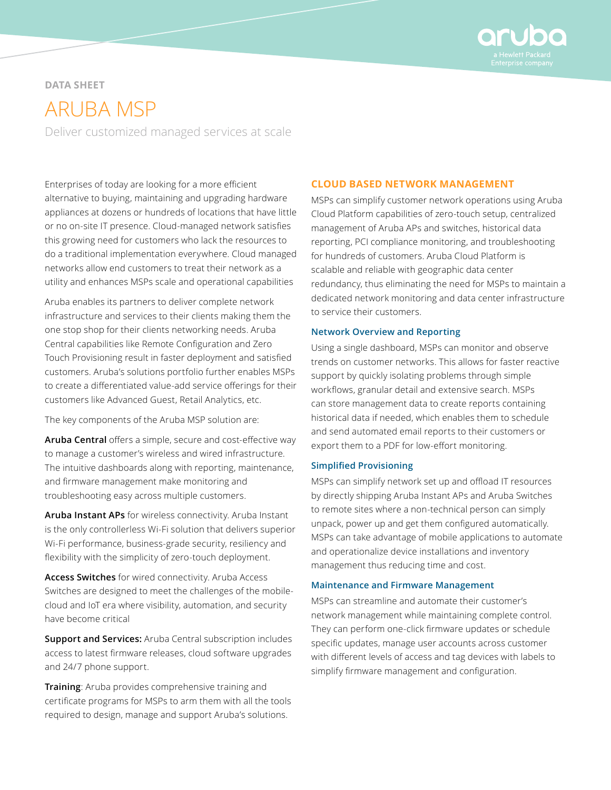

## **DATA SHEET**

# ARUBA MSP

Deliver customized managed services at scale

Enterprises of today are looking for a more efficient alternative to buying, maintaining and upgrading hardware appliances at dozens or hundreds of locations that have little or no on-site IT presence. Cloud-managed network satisfies this growing need for customers who lack the resources to do a traditional implementation everywhere. Cloud managed networks allow end customers to treat their network as a utility and enhances MSPs scale and operational capabilities

Aruba enables its partners to deliver complete network infrastructure and services to their clients making them the one stop shop for their clients networking needs. Aruba Central capabilities like Remote Configuration and Zero Touch Provisioning result in faster deployment and satisfied customers. Aruba's solutions portfolio further enables MSPs to create a differentiated value-add service offerings for their customers like Advanced Guest, Retail Analytics, etc.

The key components of the Aruba MSP solution are:

**Aruba Central** offers a simple, secure and cost-effective way to manage a customer's wireless and wired infrastructure. The intuitive dashboards along with reporting, maintenance, and firmware management make monitoring and troubleshooting easy across multiple customers.

**Aruba Instant APs** for wireless connectivity. Aruba Instant is the only controllerless Wi-Fi solution that delivers superior Wi-Fi performance, business-grade security, resiliency and flexibility with the simplicity of zero-touch deployment.

**Access Switches** for wired connectivity. Aruba Access Switches are designed to meet the challenges of the mobilecloud and IoT era where visibility, automation, and security have become critical

**Support and Services:** Aruba Central subscription includes access to latest firmware releases, cloud software upgrades and 24/7 phone support.

**Training**: Aruba provides comprehensive training and certificate programs for MSPs to arm them with all the tools required to design, manage and support Aruba's solutions.

#### **CLOUD BASED NETWORK MANAGEMENT**

MSPs can simplify customer network operations using Aruba Cloud Platform capabilities of zero-touch setup, centralized management of Aruba APs and switches, historical data reporting, PCI compliance monitoring, and troubleshooting for hundreds of customers. Aruba Cloud Platform is scalable and reliable with geographic data center redundancy, thus eliminating the need for MSPs to maintain a dedicated network monitoring and data center infrastructure to service their customers.

#### **Network Overview and Reporting**

Using a single dashboard, MSPs can monitor and observe trends on customer networks. This allows for faster reactive support by quickly isolating problems through simple workflows, granular detail and extensive search. MSPs can store management data to create reports containing historical data if needed, which enables them to schedule and send automated email reports to their customers or export them to a PDF for low-effort monitoring.

#### **Simplified Provisioning**

MSPs can simplify network set up and offload IT resources by directly shipping Aruba Instant APs and Aruba Switches to remote sites where a non-technical person can simply unpack, power up and get them configured automatically. MSPs can take advantage of mobile applications to automate and operationalize device installations and inventory management thus reducing time and cost.

#### **Maintenance and Firmware Management**

MSPs can streamline and automate their customer's network management while maintaining complete control. They can perform one-click firmware updates or schedule specific updates, manage user accounts across customer with different levels of access and tag devices with labels to simplify firmware management and configuration.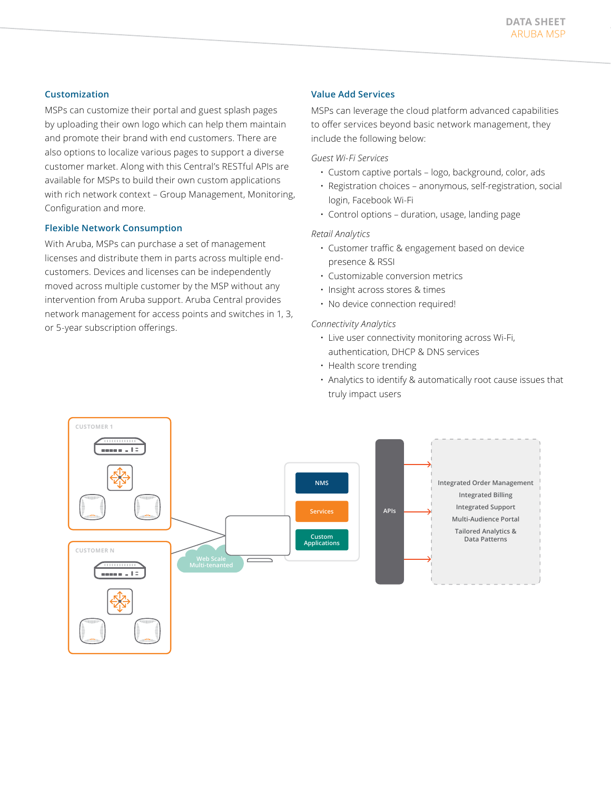#### **Customization**

MSPs can customize their portal and guest splash pages by uploading their own logo which can help them maintain and promote their brand with end customers. There are also options to localize various pages to support a diverse customer market. Along with this Central's RESTful APIs are available for MSPs to build their own custom applications with rich network context – Group Management, Monitoring, Configuration and more.

## **Flexible Network Consumption**

With Aruba, MSPs can purchase a set of management licenses and distribute them in parts across multiple endcustomers. Devices and licenses can be independently moved across multiple customer by the MSP without any intervention from Aruba support. Aruba Central provides network management for access points and switches in 1, 3, or 5-year subscription offerings.

### **Value Add Services**

MSPs can leverage the cloud platform advanced capabilities to offer services beyond basic network management, they include the following below:

*Guest Wi-Fi Services*

- Custom captive portals logo, background, color, ads
- Registration choices anonymous, self-registration, social login, Facebook Wi-Fi
- Control options duration, usage, landing page

#### *Retail Analytics*

- Customer traffic & engagement based on device presence & RSSI
- Customizable conversion metrics
- Insight across stores & times
- No device connection required!

#### *Connectivity Analytics*

- Live user connectivity monitoring across Wi-Fi, authentication, DHCP & DNS services
- Health score trending
- Analytics to identify & automatically root cause issues that truly impact users

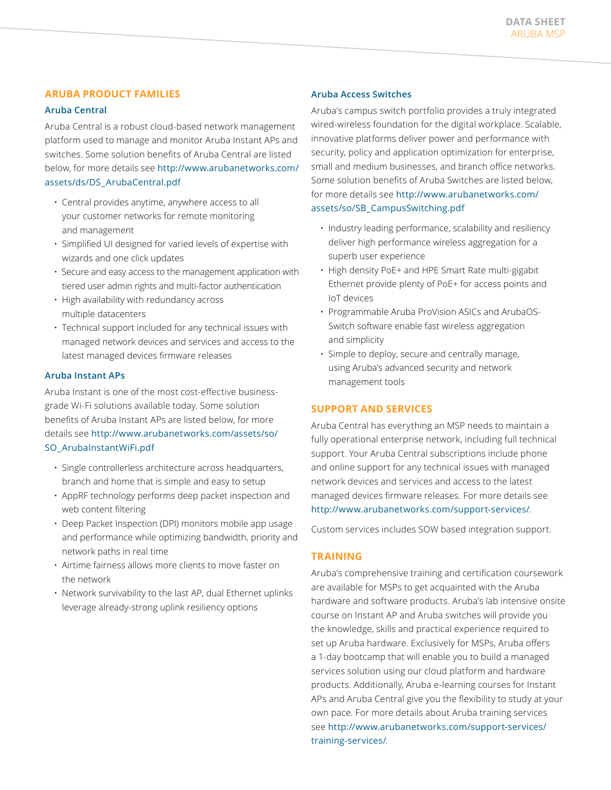## **ARUBA PRODUCT FAMILIES**

#### **Aruba Central**

Aruba Central is a robust cloud-based network management platform used to manage and monitor Aruba Instant APs and switches. Some solution benefits of Aruba Central are listed below, for more details see [http://www.arubanetworks.com/](http://www.arubanetworks.com/assets/ds/DS_ArubaCentral.pdf) [assets/ds/DS\\_ArubaCentral.pdf](http://www.arubanetworks.com/assets/ds/DS_ArubaCentral.pdf)

- Central provides anytime, anywhere access to all your customer networks for remote monitoring and management
- Simplified UI designed for varied levels of expertise with wizards and one click updates
- Secure and easy access to the management application with tiered user admin rights and multi-factor authentication
- High availability with redundancy across multiple datacenters
- Technical support included for any technical issues with managed network devices and services and access to the latest managed devices firmware releases

#### **Aruba Instant APs**

Aruba Instant is one of the most cost-effective businessgrade Wi-Fi solutions available today. Some solution benefits of Aruba Instant APs are listed below, for more details see [http://www.arubanetworks.com/assets/so/](http://www.arubanetworks.com/assets/so/SO_ArubaInstantWiFi.pdf) [SO\\_ArubaInstantWiFi.pdf](http://www.arubanetworks.com/assets/so/SO_ArubaInstantWiFi.pdf)

- Single controllerless architecture across headquarters, branch and home that is simple and easy to setup
- AppRF technology performs deep packet inspection and web content filtering
- Deep Packet Inspection (DPI) monitors mobile app usage and performance while optimizing bandwidth, priority and network paths in real time
- Airtime fairness allows more clients to move faster on the network
- Network survivability to the last AP, dual Ethernet uplinks leverage already-strong uplink resiliency options

#### **Aruba Access Switches**

Aruba's campus switch portfolio provides a truly integrated wired-wireless foundation for the digital workplace. Scalable, innovative platforms deliver power and performance with security, policy and application optimization for enterprise, small and medium businesses, and branch office networks. Some solution benefits of Aruba Switches are listed below, for more details see [http://www.arubanetworks.com/](http://www.arubanetworks.com/assets/so/SB_CampusSwitching.pdf) [assets/so/SB\\_CampusSwitching.pdf](http://www.arubanetworks.com/assets/so/SB_CampusSwitching.pdf)

- Industry leading performance, scalability and resiliency deliver high performance wireless aggregation for a superb user experience
- High density PoE+ and HPE Smart Rate multi-gigabit Ethernet provide plenty of PoE+ for access points and IoT devices
- Programmable Aruba ProVision ASICs and ArubaOS-Switch software enable fast wireless aggregation and simplicity
- Simple to deploy, secure and centrally manage, using Aruba's advanced security and network management tools

## **SUPPORT AND SERVICES**

Aruba Central has everything an MSP needs to maintain a fully operational enterprise network, including full technical support. Your Aruba Central subscriptions include phone and online support for any technical issues with managed network devices and services and access to the latest managed devices firmware releases. For more details see <http://www.arubanetworks.com/support-services/>.

Custom services includes SOW based integration support.

## **TRAINING**

Aruba's comprehensive training and certification coursework are available for MSPs to get acquainted with the Aruba hardware and software products. Aruba's lab intensive onsite course on Instant AP and Aruba switches will provide you the knowledge, skills and practical experience required to set up Aruba hardware. Exclusively for MSPs, Aruba offers a 1-day bootcamp that will enable you to build a managed services solution using our cloud platform and hardware products. Additionally, Aruba e-learning courses for Instant APs and Aruba Central give you the flexibility to study at your own pace. For more details about Aruba training services see [http://www.arubanetworks.com/support-services/](http://www.arubanetworks.com/support-services/training-services/) [training-services/](http://www.arubanetworks.com/support-services/training-services/).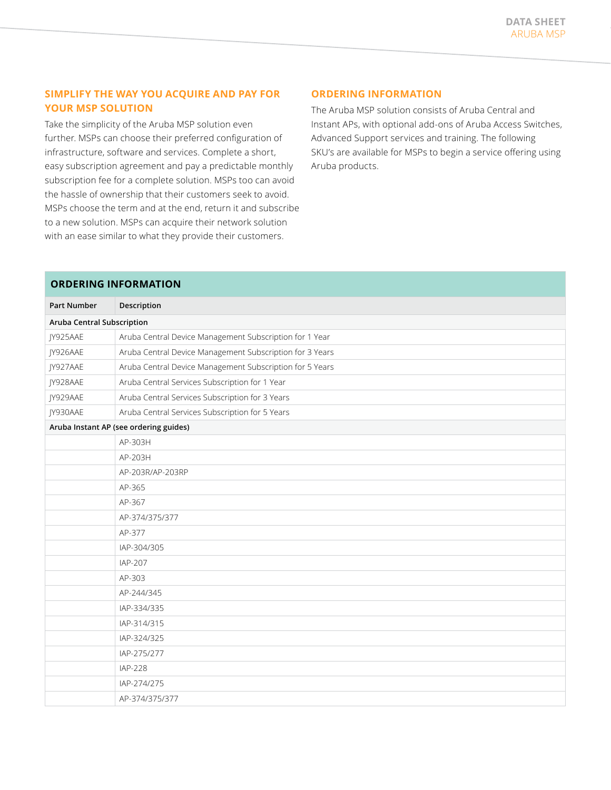## **SIMPLIFY THE WAY YOU ACQUIRE AND PAY FOR YOUR MSP SOLUTION**

Take the simplicity of the Aruba MSP solution even further. MSPs can choose their preferred configuration of infrastructure, software and services. Complete a short, easy subscription agreement and pay a predictable monthly subscription fee for a complete solution. MSPs too can avoid the hassle of ownership that their customers seek to avoid. MSPs choose the term and at the end, return it and subscribe to a new solution. MSPs can acquire their network solution with an ease similar to what they provide their customers.

## **ORDERING INFORMATION**

The Aruba MSP solution consists of Aruba Central and Instant APs, with optional add-ons of Aruba Access Switches, Advanced Support services and training. The following SKU's are available for MSPs to begin a service offering using Aruba products.

## **ORDERING INFORMATION**

| <b>Part Number</b>                     | Description                                              |
|----------------------------------------|----------------------------------------------------------|
| <b>Aruba Central Subscription</b>      |                                                          |
| JY925AAE                               | Aruba Central Device Management Subscription for 1 Year  |
| JY926AAE                               | Aruba Central Device Management Subscription for 3 Years |
| JY927AAE                               | Aruba Central Device Management Subscription for 5 Years |
| JY928AAE                               | Aruba Central Services Subscription for 1 Year           |
| JY929AAE                               | Aruba Central Services Subscription for 3 Years          |
| JY930AAE                               | Aruba Central Services Subscription for 5 Years          |
| Aruba Instant AP (see ordering guides) |                                                          |
|                                        | AP-303H                                                  |
|                                        | AP-203H                                                  |
|                                        | AP-203R/AP-203RP                                         |
|                                        | AP-365                                                   |
|                                        | AP-367                                                   |
|                                        | AP-374/375/377                                           |
|                                        | AP-377                                                   |
|                                        | IAP-304/305                                              |
|                                        | IAP-207                                                  |
|                                        | AP-303                                                   |
|                                        | AP-244/345                                               |
|                                        | IAP-334/335                                              |
|                                        | IAP-314/315                                              |
|                                        | IAP-324/325                                              |
|                                        | IAP-275/277                                              |
|                                        | <b>IAP-228</b>                                           |
|                                        | IAP-274/275                                              |
|                                        | AP-374/375/377                                           |